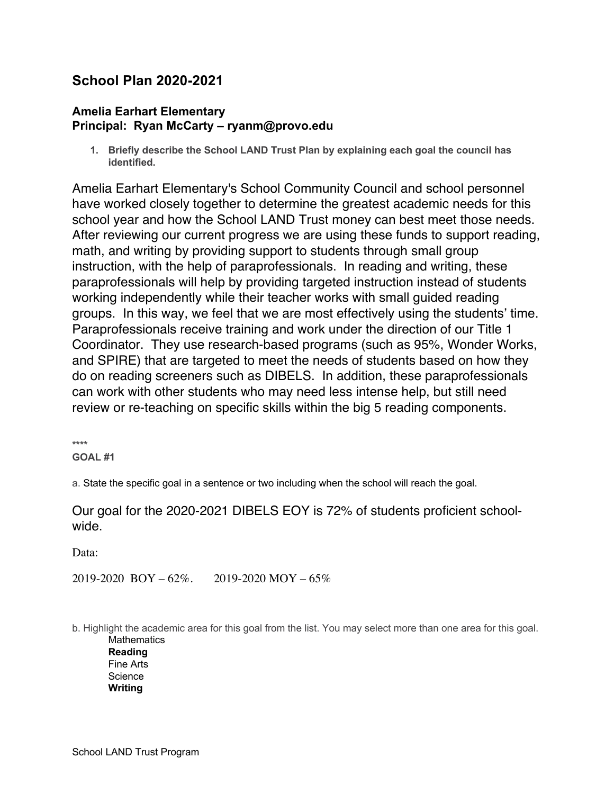# **School Plan 2020-2021**

#### **Amelia Earhart Elementary Principal: Ryan McCarty – ryanm@provo.edu**

**1. Briefly describe the School LAND Trust Plan by explaining each goal the council has identified.**

Amelia Earhart Elementary's School Community Council and school personnel have worked closely together to determine the greatest academic needs for this school year and how the School LAND Trust money can best meet those needs. After reviewing our current progress we are using these funds to support reading, math, and writing by providing support to students through small group instruction, with the help of paraprofessionals. In reading and writing, these paraprofessionals will help by providing targeted instruction instead of students working independently while their teacher works with small guided reading groups. In this way, we feel that we are most effectively using the students' time. Paraprofessionals receive training and work under the direction of our Title 1 Coordinator. They use research-based programs (such as 95%, Wonder Works, and SPIRE) that are targeted to meet the needs of students based on how they do on reading screeners such as DIBELS. In addition, these paraprofessionals can work with other students who may need less intense help, but still need review or re-teaching on specific skills within the big 5 reading components.

**\*\*\*\* GOAL #1**

a. State the specific goal in a sentence or two including when the school will reach the goal.

## Our goal for the 2020-2021 DIBELS EOY is 72% of students proficient schoolwide.

Data:

2019-2020 BOY – 62%. 2019-2020 MOY – 65%

b. Highlight the academic area for this goal from the list. You may select more than one area for this goal. **Mathematics** 

**Reading** Fine Arts **Science Writing**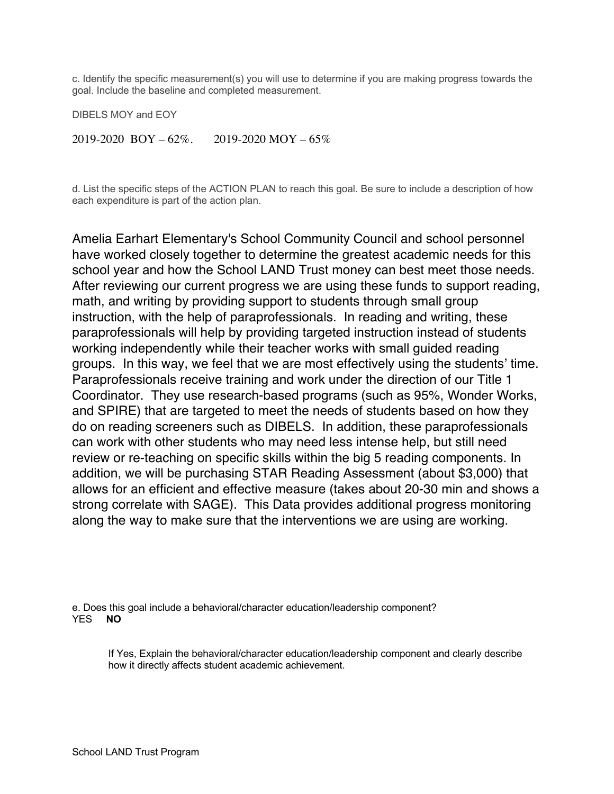c. Identify the specific measurement(s) you will use to determine if you are making progress towards the goal. Include the baseline and completed measurement.

DIBELS MOY and EOY

 $2019-2020$  BOY –  $62\%$ . 2019-2020 MOY –  $65\%$ 

d. List the specific steps of the ACTION PLAN to reach this goal. Be sure to include a description of how each expenditure is part of the action plan.

Amelia Earhart Elementary's School Community Council and school personnel have worked closely together to determine the greatest academic needs for this school year and how the School LAND Trust money can best meet those needs. After reviewing our current progress we are using these funds to support reading, math, and writing by providing support to students through small group instruction, with the help of paraprofessionals. In reading and writing, these paraprofessionals will help by providing targeted instruction instead of students working independently while their teacher works with small guided reading groups. In this way, we feel that we are most effectively using the students' time. Paraprofessionals receive training and work under the direction of our Title 1 Coordinator. They use research-based programs (such as 95%, Wonder Works, and SPIRE) that are targeted to meet the needs of students based on how they do on reading screeners such as DIBELS. In addition, these paraprofessionals can work with other students who may need less intense help, but still need review or re-teaching on specific skills within the big 5 reading components. In addition, we will be purchasing STAR Reading Assessment (about \$3,000) that allows for an efficient and effective measure (takes about 20-30 min and shows a strong correlate with SAGE). This Data provides additional progress monitoring along the way to make sure that the interventions we are using are working.

e. Does this goal include a behavioral/character education/leadership component? YES **NO**

If Yes, Explain the behavioral/character education/leadership component and clearly describe how it directly affects student academic achievement.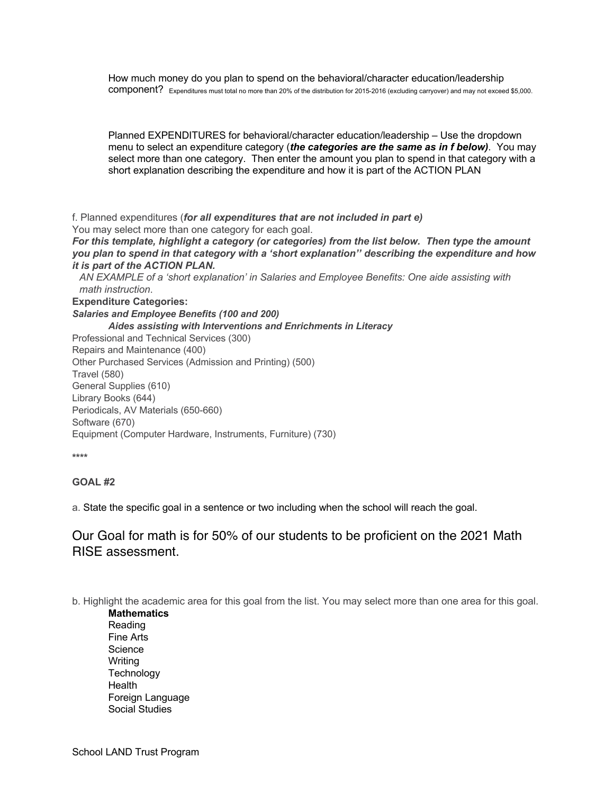How much money do you plan to spend on the behavioral/character education/leadership component? Expenditures must total no more than 20% of the distribution for 2015-2016 (excluding carryover) and may not exceed \$5,000.

Planned EXPENDITURES for behavioral/character education/leadership – Use the dropdown menu to select an expenditure category (*the categories are the same as in f below)*. You may select more than one category. Then enter the amount you plan to spend in that category with a short explanation describing the expenditure and how it is part of the ACTION PLAN

f. Planned expenditures (*for all expenditures that are not included in part e)* You may select more than one category for each goal.

*For this template, highlight a category (or categories) from the list below. Then type the amount you plan to spend in that category with a 'short explanation'' describing the expenditure and how it is part of the ACTION PLAN.* 

*AN EXAMPLE of a 'short explanation' in Salaries and Employee Benefits: One aide assisting with math instruction*.

**Expenditure Categories:**

*Salaries and Employee Benefits (100 and 200) Aides assisting with Interventions and Enrichments in Literacy* Professional and Technical Services (300) Repairs and Maintenance (400) Other Purchased Services (Admission and Printing) (500) Travel (580) General Supplies (610) Library Books (644)

Periodicals, AV Materials (650-660) Software (670)

Equipment (Computer Hardware, Instruments, Furniture) (730)

**\*\*\*\***

#### **GOAL #2**

a. State the specific goal in a sentence or two including when the school will reach the goal.

## Our Goal for math is for 50% of our students to be proficient on the 2021 Math RISE assessment.

b. Highlight the academic area for this goal from the list. You may select more than one area for this goal.

**Mathematics** Reading Fine Arts **Science** Writing **Technology Health** Foreign Language Social Studies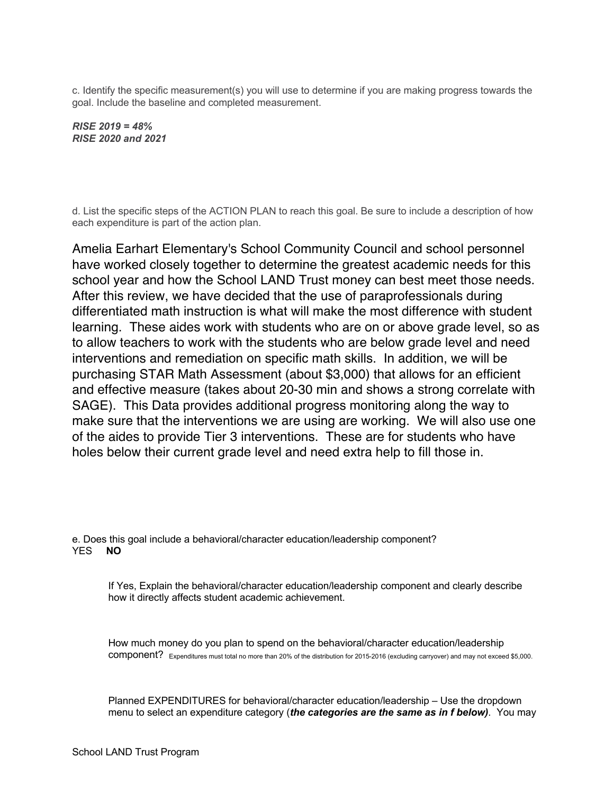c. Identify the specific measurement(s) you will use to determine if you are making progress towards the goal. Include the baseline and completed measurement.

*RISE 2019 = 48% RISE 2020 and 2021*

d. List the specific steps of the ACTION PLAN to reach this goal. Be sure to include a description of how each expenditure is part of the action plan.

Amelia Earhart Elementary's School Community Council and school personnel have worked closely together to determine the greatest academic needs for this school year and how the School LAND Trust money can best meet those needs. After this review, we have decided that the use of paraprofessionals during differentiated math instruction is what will make the most difference with student learning. These aides work with students who are on or above grade level, so as to allow teachers to work with the students who are below grade level and need interventions and remediation on specific math skills. In addition, we will be purchasing STAR Math Assessment (about \$3,000) that allows for an efficient and effective measure (takes about 20-30 min and shows a strong correlate with SAGE). This Data provides additional progress monitoring along the way to make sure that the interventions we are using are working. We will also use one of the aides to provide Tier 3 interventions. These are for students who have holes below their current grade level and need extra help to fill those in.

e. Does this goal include a behavioral/character education/leadership component? YES **NO**

If Yes, Explain the behavioral/character education/leadership component and clearly describe how it directly affects student academic achievement.

How much money do you plan to spend on the behavioral/character education/leadership component? Expenditures must total no more than 20% of the distribution for 2015-2016 (excluding carryover) and may not exceed \$5,000.

Planned EXPENDITURES for behavioral/character education/leadership – Use the dropdown menu to select an expenditure category (*the categories are the same as in f below)*. You may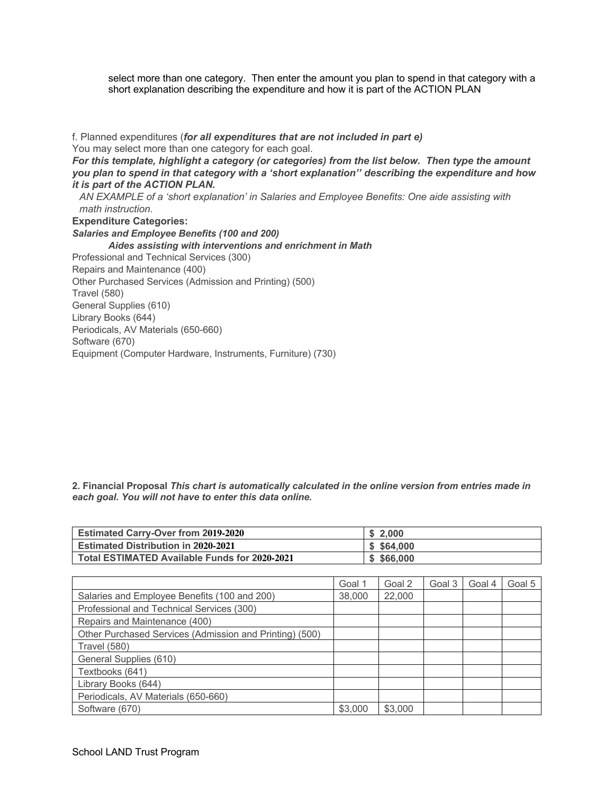select more than one category. Then enter the amount you plan to spend in that category with a short explanation describing the expenditure and how it is part of the ACTION PLAN

f. Planned expenditures (*for all expenditures that are not included in part e)* You may select more than one category for each goal. *For this template, highlight a category (or categories) from the list below. Then type the amount you plan to spend in that category with a 'short explanation'' describing the expenditure and how it is part of the ACTION PLAN. AN EXAMPLE of a 'short explanation' in Salaries and Employee Benefits: One aide assisting with math instruction*. **Expenditure Categories:** *Salaries and Employee Benefits (100 and 200) Aides assisting with interventions and enrichment in Math* Professional and Technical Services (300) Repairs and Maintenance (400) Other Purchased Services (Admission and Printing) (500) Travel (580) General Supplies (610) Library Books (644) Periodicals, AV Materials (650-660) Software (670) Equipment (Computer Hardware, Instruments, Furniture) (730)

**2. Financial Proposal** *This chart is automatically calculated in the online version from entries made in each goal***.** *You will not have to enter this data online.*

| <b>Estimated Carry-Over from 2019-2020</b>    | \$2.000    |
|-----------------------------------------------|------------|
| <b>Estimated Distribution in 2020-2021</b>    | \$5,64.000 |
| Total ESTIMATED Available Funds for 2020-2021 | \$566.000  |

|                                                         | Goal 1  | Goal 2  | Goal 3 | Goal 4 | Goal 5 |
|---------------------------------------------------------|---------|---------|--------|--------|--------|
| Salaries and Employee Benefits (100 and 200)            | 38,000  | 22,000  |        |        |        |
| Professional and Technical Services (300)               |         |         |        |        |        |
| Repairs and Maintenance (400)                           |         |         |        |        |        |
| Other Purchased Services (Admission and Printing) (500) |         |         |        |        |        |
| <b>Travel (580)</b>                                     |         |         |        |        |        |
| General Supplies (610)                                  |         |         |        |        |        |
| Textbooks (641)                                         |         |         |        |        |        |
| Library Books (644)                                     |         |         |        |        |        |
| Periodicals, AV Materials (650-660)                     |         |         |        |        |        |
| Software (670)                                          | \$3,000 | \$3,000 |        |        |        |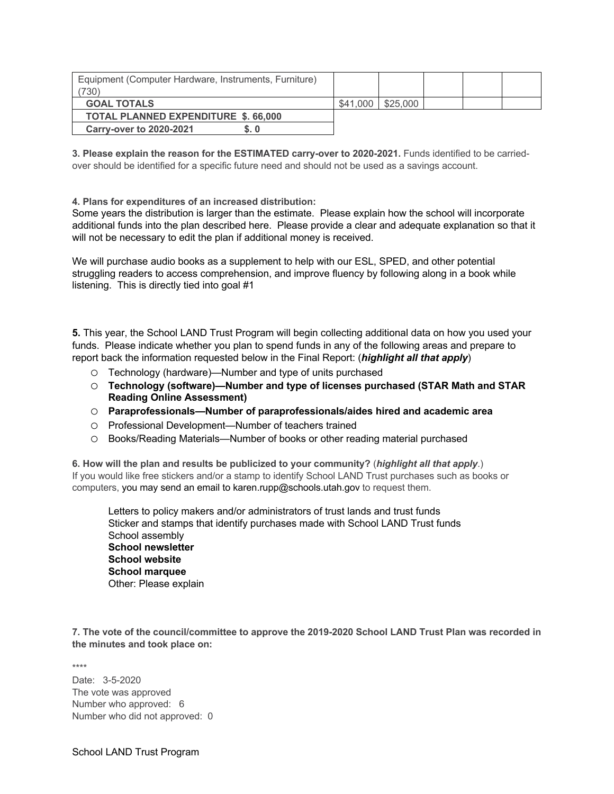| Equipment (Computer Hardware, Instruments, Furniture)<br>730) |          |          |  |  |
|---------------------------------------------------------------|----------|----------|--|--|
| <b>GOAL TOTALS</b>                                            | \$41,000 | \$25,000 |  |  |
| <b>TOTAL PLANNED EXPENDITURE \$, 66,000</b>                   |          |          |  |  |
| <b>Carry-over to 2020-2021</b><br>S.0                         |          |          |  |  |

**3. Please explain the reason for the ESTIMATED carry-over to 2020-2021.** Funds identified to be carriedover should be identified for a specific future need and should not be used as a savings account.

**4. Plans for expenditures of an increased distribution:**

Some years the distribution is larger than the estimate. Please explain how the school will incorporate additional funds into the plan described here. Please provide a clear and adequate explanation so that it will not be necessary to edit the plan if additional money is received.

We will purchase audio books as a supplement to help with our ESL, SPED, and other potential struggling readers to access comprehension, and improve fluency by following along in a book while listening. This is directly tied into goal #1

**5.** This year, the School LAND Trust Program will begin collecting additional data on how you used your funds. Please indicate whether you plan to spend funds in any of the following areas and prepare to report back the information requested below in the Final Report: (*highlight all that apply*)

- o Technology (hardware)—Number and type of units purchased
- o **Technology (software)—Number and type of licenses purchased (STAR Math and STAR Reading Online Assessment)**
- o **Paraprofessionals—Number of paraprofessionals/aides hired and academic area**
- o Professional Development—Number of teachers trained
- o Books/Reading Materials—Number of books or other reading material purchased

**6. How will the plan and results be publicized to your community?** (*highlight all that apply*.) If you would like free stickers and/or a stamp to identify School LAND Trust purchases such as books or computers, you may send an email to karen.rupp@schools.utah.gov to request them.

Letters to policy makers and/or administrators of trust lands and trust funds Sticker and stamps that identify purchases made with School LAND Trust funds School assembly **School newsletter School website School marquee** Other: Please explain

**7. The vote of the council/committee to approve the 2019-2020 School LAND Trust Plan was recorded in the minutes and took place on:**

\*\*\*\*

Date: 3-5-2020 The vote was approved Number who approved: 6 Number who did not approved: 0

School LAND Trust Program